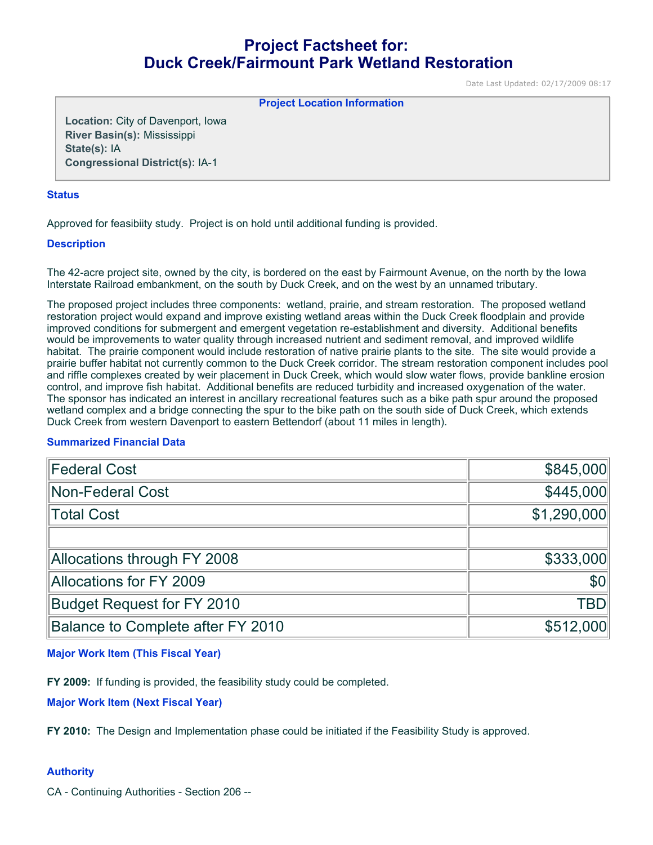# **Project Factsheet for: Duck Creek/Fairmount Park Wetland Restoration**

Date Last Updated: 02/17/2009 08:17

**Project Location Information** 

**Location:** City of Davenport, Iowa **River Basin(s):** Mississippi **State(s):** IA **Congressional District(s):** IA-1

#### **Status**

Approved for feasibiity study. Project is on hold until additional funding is provided.

## **Description**

The 42-acre project site, owned by the city, is bordered on the east by Fairmount Avenue, on the north by the Iowa Interstate Railroad embankment, on the south by Duck Creek, and on the west by an unnamed tributary.

The proposed project includes three components: wetland, prairie, and stream restoration. The proposed wetland restoration project would expand and improve existing wetland areas within the Duck Creek floodplain and provide improved conditions for submergent and emergent vegetation re-establishment and diversity. Additional benefits would be improvements to water quality through increased nutrient and sediment removal, and improved wildlife habitat. The prairie component would include restoration of native prairie plants to the site. The site would provide a prairie buffer habitat not currently common to the Duck Creek corridor. The stream restoration component includes pool and riffle complexes created by weir placement in Duck Creek, which would slow water flows, provide bankline erosion control, and improve fish habitat. Additional benefits are reduced turbidity and increased oxygenation of the water. The sponsor has indicated an interest in ancillary recreational features such as a bike path spur around the proposed wetland complex and a bridge connecting the spur to the bike path on the south side of Duck Creek, which extends Duck Creek from western Davenport to eastern Bettendorf (about 11 miles in length).

## **Summarized Financial Data**

| <b>Federal Cost</b>               | \$845,000      |
|-----------------------------------|----------------|
| Non-Federal Cost                  | \$445,000      |
| Total Cost                        | \$1,290,000    |
|                                   |                |
| Allocations through FY 2008       | \$333,000      |
| Allocations for FY 2009           | S <sub>0</sub> |
| <b>Budget Request for FY 2010</b> | TBD            |
| Balance to Complete after FY 2010 | \$512,000      |

#### **Major Work Item (This Fiscal Year)**

**FY 2009:** If funding is provided, the feasibility study could be completed.

**Major Work Item (Next Fiscal Year)**

**FY 2010:** The Design and Implementation phase could be initiated if the Feasibility Study is approved.

## **Authority**

CA - Continuing Authorities - Section 206 --